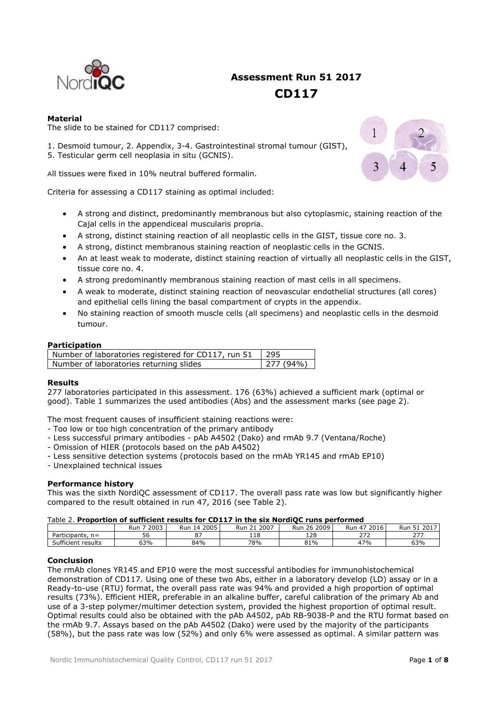

# **Assessment Run 51 2017 CD117**

# **Material**

The slide to be stained for CD117 comprised:

- 1. Desmoid tumour, 2. Appendix, 3-4. Gastrointestinal stromal tumour (GIST),
- 5. Testicular germ cell neoplasia in situ (GCNIS).

All tissues were fixed in 10% neutral buffered formalin.

Criteria for assessing a CD117 staining as optimal included:

- A strong and distinct, predominantly membranous but also cytoplasmic, staining reaction of the Cajal cells in the appendiceal muscularis propria.
- A strong, distinct staining reaction of all neoplastic cells in the GIST, tissue core no. 3.
- A strong, distinct membranous staining reaction of neoplastic cells in the GCNIS.
- An at least weak to moderate, distinct staining reaction of virtually all neoplastic cells in the GIST, tissue core no. 4.
- A strong predominantly membranous staining reaction of mast cells in all specimens.
- A weak to moderate, distinct staining reaction of neovascular endothelial structures (all cores) and epithelial cells lining the basal compartment of crypts in the appendix.
- No staining reaction of smooth muscle cells (all specimens) and neoplastic cells in the desmoid tumour.

# **Participation**

| Number of laboratories registered for CD117, run 51   295 |          |
|-----------------------------------------------------------|----------|
| Number of laboratories returning slides                   | 277(94%) |

# **Results**

277 laboratories participated in this assessment. 176 (63%) achieved a sufficient mark (optimal or good). Table 1 summarizes the used antibodies (Abs) and the assessment marks (see page 2).

The most frequent causes of insufficient staining reactions were:

- Too low or too high concentration of the primary antibody
- Less successful primary antibodies pAb A4502 (Dako) and rmAb 9.7 (Ventana/Roche)
- Omission of HIER (protocols based on the pAb A4502)
- Less sensitive detection systems (protocols based on the rmAb YR145 and rmAb EP10)
- Unexplained technical issues

# **Performance history**

This was the sixth NordiQC assessment of CD117. The overall pass rate was low but significantly higher compared to the result obtained in run 47, 2016 (see Table 2).

### Table 2. **Proportion of sufficient results for CD117 in the six NordiQC runs performed**

|                                 | 2003<br>Rur | 2005<br>14<br>Rur | 2007<br><u>.</u><br>Run | 2009<br>26<br>Run | $\overline{\phantom{0}}$<br>2016<br>Run<br>4. | 2017<br>Run<br>⊥ ب                |
|---------------------------------|-------------|-------------------|-------------------------|-------------------|-----------------------------------------------|-----------------------------------|
| articipants,<br>$n =$           | - -<br>56   | $\sim$ $-$<br>ັ   | - 1 ຕ<br>110            | 128               | 772<br>، ے<br><u>.</u>                        | $\sim$ $\sim$ $\sim$<br><u> 2</u> |
| $\sim$<br>results<br>Sufficient | 63%         | 84%               | 78%                     | 81%               | 47%                                           | 63%                               |

# **Conclusion**

The rmAb clones YR145 and EP10 were the most successful antibodies for immunohistochemical demonstration of CD117. Using one of these two Abs, either in a laboratory develop (LD) assay or in a Ready-to-use (RTU) format, the overall pass rate was 94% and provided a high proportion of optimal results (73%). Efficient HIER, preferable in an alkaline buffer, careful calibration of the primary Ab and use of a 3-step polymer/multimer detection system, provided the highest proportion of optimal result. Optimal results could also be obtained with the pAb A4502, pAb RB-9038-P and the RTU format based on the rmAb 9.7. Assays based on the pAb A4502 (Dako) were used by the majority of the participants (58%), but the pass rate was low (52%) and only 6% were assessed as optimal. A similar pattern was

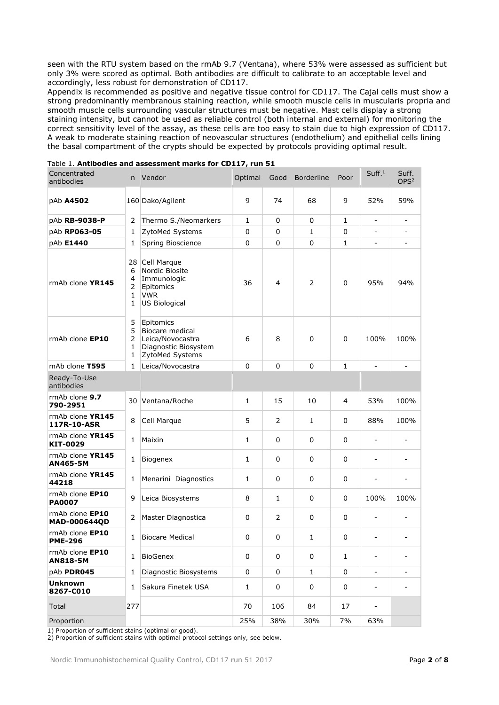seen with the RTU system based on the rmAb 9.7 (Ventana), where 53% were assessed as sufficient but only 3% were scored as optimal. Both antibodies are difficult to calibrate to an acceptable level and accordingly, less robust for demonstration of CD117.

Appendix is recommended as positive and negative tissue control for CD117. The Cajal cells must show a strong predominantly membranous staining reaction, while smooth muscle cells in muscularis propria and smooth muscle cells surrounding vascular structures must be negative. Mast cells display a strong staining intensity, but cannot be used as reliable control (both internal and external) for monitoring the correct sensitivity level of the assay, as these cells are too easy to stain due to high expression of CD117. A weak to moderate staining reaction of neovascular structures (endothelium) and epithelial cells lining the basal compartment of the crypts should be expected by protocols providing optimal result.

| Concentrated<br>antibodies             | n Vendor                               |                                                                                             | Optimal      | Good           | <b>Borderline</b> | Poor         | Suff. <sup>1</sup>       | Suff.<br>OPS <sup>2</sup> |
|----------------------------------------|----------------------------------------|---------------------------------------------------------------------------------------------|--------------|----------------|-------------------|--------------|--------------------------|---------------------------|
| pAb A4502                              |                                        | 160 Dako/Agilent                                                                            | 9            | 74             | 68                | 9            | 52%                      | 59%                       |
| pAb RB-9038-P                          | 2                                      | Thermo S./Neomarkers                                                                        | 1            | 0              | 0                 | $\mathbf{1}$ | $\overline{\phantom{0}}$ |                           |
| pAb RP063-05                           | 1                                      | ZytoMed Systems                                                                             | 0            | 0              | $\mathbf{1}$      | 0            | $\overline{a}$           |                           |
| pAb E1440                              | 1                                      | Spring Bioscience                                                                           | 0            | 0              | $\mathbf 0$       | 1            | $\overline{\phantom{m}}$ | ۰                         |
| rmAb clone YR145                       | 28<br>6<br>4<br>2<br>$\mathbf{1}$<br>1 | Cell Marque<br>Nordic Biosite<br>Immunologic<br>Epitomics<br><b>VWR</b><br>US Biological    | 36           | 4              | $\overline{2}$    | $\mathbf 0$  | 95%                      | 94%                       |
| rmAb clone EP10                        | 5<br>5<br>$\overline{2}$<br>1<br>1     | Epitomics<br>Biocare medical<br>Leica/Novocastra<br>Diagnostic Biosystem<br>ZytoMed Systems | 6            | 8              | 0                 | $\mathbf 0$  | 100%                     | 100%                      |
| mAb clone T595                         | 1                                      | Leica/Novocastra                                                                            | 0            | 0              | $\Omega$          | $\mathbf{1}$ |                          |                           |
| Ready-To-Use<br>antibodies             |                                        |                                                                                             |              |                |                   |              |                          |                           |
| rmAb clone 9.7<br>790-2951             | 30 I                                   | Ventana/Roche                                                                               | 1            | 15             | 10                | 4            | 53%                      | 100%                      |
| rmAb clone YR145<br>117R-10-ASR        | 8                                      | Cell Marque                                                                                 | 5            | 2              | $\mathbf{1}$      | 0            | 88%                      | 100%                      |
| rmAb clone YR145<br>KIT-0029           | 1                                      | Maixin                                                                                      | 1            | 0              | 0                 | 0            | $\overline{a}$           |                           |
| rmAb clone YR145<br>AN465-5M           | 1                                      | Biogenex                                                                                    | 1            | 0              | 0                 | 0            | $\overline{\phantom{m}}$ | $\overline{a}$            |
| rmAb clone YR145<br>44218              | 1                                      | Menarini Diagnostics                                                                        | 1            | 0              | 0                 | 0            | $\overline{a}$           | ۰                         |
| rmAb clone EP10<br><b>PA0007</b>       | 9                                      | Leica Biosystems                                                                            | 8            | $\mathbf{1}$   | 0                 | 0            | 100%                     | 100%                      |
| rmAb clone EP10<br><b>MAD-000644QD</b> | 2                                      | Master Diagnostica                                                                          | 0            | $\overline{2}$ | 0                 | 0            | $\overline{a}$           |                           |
| rmAb clone EP10<br><b>PME-296</b>      | 1                                      | <b>Biocare Medical</b>                                                                      | 0            | 0              | $\mathbf{1}$      | 0            | $\overline{\phantom{a}}$ | $\overline{\phantom{0}}$  |
| rmAb clone EP10<br><b>AN818-5M</b>     | 1                                      | BioGenex                                                                                    | $\pmb{0}$    | $\pmb{0}$      | $\pmb{0}$         | $\mathbf{1}$ | $\overline{\phantom{a}}$ |                           |
| pAb PDR045                             | 1                                      | Diagnostic Biosystems                                                                       | 0            | 0              | $\mathbf{1}$      | 0            | $\overline{\phantom{0}}$ |                           |
| <b>Unknown</b><br>8267-C010            | 1                                      | Sakura Finetek USA                                                                          | $\mathbf{1}$ | 0              | $\pmb{0}$         | 0            | -                        | $\overline{\phantom{0}}$  |
| Total                                  | 277                                    |                                                                                             | 70           | 106            | 84                | 17           | $\overline{\phantom{0}}$ |                           |
| Proportion                             |                                        |                                                                                             | 25%          | 38%            | 30%               | 7%           | 63%                      |                           |

|  | Table 1. Antibodies and assessment marks for CD117, run 51 |  |
|--|------------------------------------------------------------|--|
|--|------------------------------------------------------------|--|

1) Proportion of sufficient stains (optimal or good).

2) Proportion of sufficient stains with optimal protocol settings only, see below.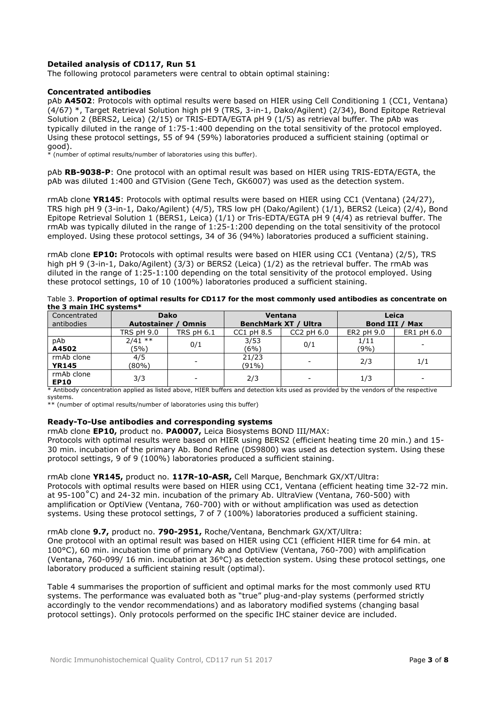# **Detailed analysis of CD117, Run 51**

The following protocol parameters were central to obtain optimal staining:

## **Concentrated antibodies**

pAb **A4502**: Protocols with optimal results were based on HIER using Cell Conditioning 1 (CC1, Ventana) (4/67) \*, Target Retrieval Solution high pH 9 (TRS, 3-in-1, Dako/Agilent) (2/34), Bond Epitope Retrieval Solution 2 (BERS2, Leica) (2/15) or TRIS-EDTA/EGTA pH 9 (1/5) as retrieval buffer. The pAb was typically diluted in the range of 1:75-1:400 depending on the total sensitivity of the protocol employed. Using these protocol settings, 55 of 94 (59%) laboratories produced a sufficient staining (optimal or good).

 $*$  (number of optimal results/number of laboratories using this buffer).

pAb **RB-9038-P**: One protocol with an optimal result was based on HIER using TRIS-EDTA/EGTA, the pAb was diluted 1:400 and GTVision (Gene Tech, GK6007) was used as the detection system.

rmAb clone **YR145**: Protocols with optimal results were based on HIER using CC1 (Ventana) (24/27), TRS high pH 9 (3-in-1, Dako/Agilent) (4/5), TRS low pH (Dako/Agilent) (1/1), BERS2 (Leica) (2/4), Bond Epitope Retrieval Solution 1 (BERS1, Leica) (1/1) or Tris-EDTA/EGTA pH 9 (4/4) as retrieval buffer. The rmAb was typically diluted in the range of 1:25-1:200 depending on the total sensitivity of the protocol employed. Using these protocol settings, 34 of 36 (94%) laboratories produced a sufficient staining.

rmAb clone **EP10:** Protocols with optimal results were based on HIER using CC1 (Ventana) (2/5), TRS high pH 9 (3-in-1, Dako/Agilent) (3/3) or BERS2 (Leica) (1/2) as the retrieval buffer. The rmAb was diluted in the range of 1:25-1:100 depending on the total sensitivity of the protocol employed. Using these protocol settings, 10 of 10 (100%) laboratories produced a sufficient staining.

| Table 3. Proportion of optimal results for CD117 for the most commonly used antibodies as concentrate on |  |
|----------------------------------------------------------------------------------------------------------|--|
| the 3 main IHC systems*                                                                                  |  |

| Concentrated<br>antibodies | <b>Dako</b><br>Autostainer /<br><b>Omnis</b> |                   | <b>Ventana</b><br><b>BenchMark XT / Ultra</b> |                | Leica<br>Bond III /<br>Max |            |
|----------------------------|----------------------------------------------|-------------------|-----------------------------------------------|----------------|----------------------------|------------|
|                            | TRS pH 9.0                                   | <b>TRS pH 6.1</b> | $CC1$ pH $8.5$                                | $CC2$ pH $6.0$ | ER2 pH 9.0                 | ER1 pH 6.0 |
| pAb<br>A4502               | $2/41$ **<br>(5%)                            | 0/1               | 3/53<br>(6%)                                  | 0/1            | 1/11<br>(9%)               |            |
| rmAb clone<br><b>YR145</b> | 4/5<br>(80%)                                 |                   | 21/23<br>(91%)                                | -              | 2/3                        | 1/1        |
| rmAb clone<br><b>EP10</b>  | 3/3                                          | -                 | 2/3                                           | -              | 1/3                        | -          |

\* Antibody concentration applied as listed above, HIER buffers and detection kits used as provided by the vendors of the respective systems.

\*\* (number of optimal results/number of laboratories using this buffer)

### **Ready-To-Use antibodies and corresponding systems**

rmAb clone **EP10,** product no. **PA0007,** Leica Biosystems BOND III/MAX:

Protocols with optimal results were based on HIER using BERS2 (efficient heating time 20 min.) and 15- 30 min. incubation of the primary Ab. Bond Refine (DS9800) was used as detection system. Using these protocol settings, 9 of 9 (100%) laboratories produced a sufficient staining.

### rmAb clone **YR145,** product no. **117R-10-ASR,** Cell Marque, Benchmark GX/XT/Ultra:

Protocols with optimal results were based on HIER using CC1, Ventana (efficient heating time 32-72 min. at 95-100˚C) and 24-32 min. incubation of the primary Ab. UltraView (Ventana, 760-500) with amplification or OptiView (Ventana, 760-700) with or without amplification was used as detection systems. Using these protocol settings, 7 of 7 (100%) laboratories produced a sufficient staining.

### rmAb clone **9.7,** product no. **790-2951,** Roche/Ventana, Benchmark GX/XT/Ultra:

One protocol with an optimal result was based on HIER using CC1 (efficient HIER time for 64 min. at 100°C), 60 min. incubation time of primary Ab and OptiView (Ventana, 760-700) with amplification (Ventana, 760-099/ 16 min. incubation at 36°C) as detection system. Using these protocol settings, one laboratory produced a sufficient staining result (optimal).

Table 4 summarises the proportion of sufficient and optimal marks for the most commonly used RTU systems. The performance was evaluated both as "true" plug-and-play systems (performed strictly accordingly to the vendor recommendations) and as laboratory modified systems (changing basal protocol settings). Only protocols performed on the specific IHC stainer device are included.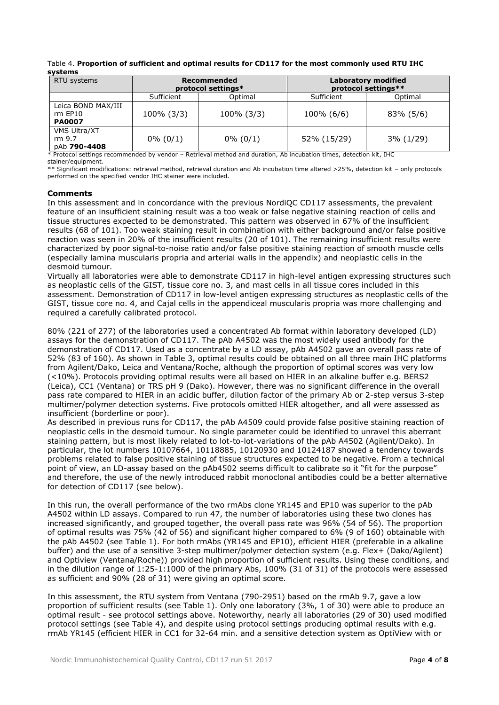Table 4. **Proportion of sufficient and optimal results for CD117 for the most commonly used RTU IHC systems**

| RTU systems                                    |             | Recommended<br>protocol settings* | <b>Laboratory modified</b><br>protocol settings** |              |  |
|------------------------------------------------|-------------|-----------------------------------|---------------------------------------------------|--------------|--|
|                                                | Sufficient  | Optimal                           | Sufficient                                        | Optimal      |  |
| Leica BOND MAX/III<br>rm EP10<br><b>PA0007</b> | 100% (3/3)  | 100% (3/3)                        | 100% (6/6)                                        | 83% (5/6)    |  |
| VMS Ultra/XT<br>rm 9.7<br>pAb 790-4408         | $0\% (0/1)$ | $0\% (0/1)$                       | 52% (15/29)                                       | $3\%$ (1/29) |  |

\* Protocol settings recommended by vendor – Retrieval method and duration, Ab incubation times, detection kit, IHC stainer/equipment.

\*\* Significant modifications: retrieval method, retrieval duration and Ab incubation time altered >25%, detection kit – only protocols performed on the specified vendor IHC stainer were included.

# **Comments**

In this assessment and in concordance with the previous NordiOC CD117 assessments, the prevalent feature of an insufficient staining result was a too weak or false negative staining reaction of cells and tissue structures expected to be demonstrated. This pattern was observed in 67% of the insufficient results (68 of 101). Too weak staining result in combination with either background and/or false positive reaction was seen in 20% of the insufficient results (20 of 101). The remaining insufficient results were characterized by poor signal-to-noise ratio and/or false positive staining reaction of smooth muscle cells (especially lamina muscularis propria and arterial walls in the appendix) and neoplastic cells in the desmoid tumour.

Virtually all laboratories were able to demonstrate CD117 in high-level antigen expressing structures such as neoplastic cells of the GIST, tissue core no. 3, and mast cells in all tissue cores included in this assessment. Demonstration of CD117 in low-level antigen expressing structures as neoplastic cells of the GIST, tissue core no. 4, and Cajal cells in the appendiceal muscularis propria was more challenging and required a carefully calibrated protocol.

80% (221 of 277) of the laboratories used a concentrated Ab format within laboratory developed (LD) assays for the demonstration of CD117. The pAb A4502 was the most widely used antibody for the demonstration of CD117. Used as a concentrate by a LD assay, pAb A4502 gave an overall pass rate of 52% (83 of 160). As shown in Table 3, optimal results could be obtained on all three main IHC platforms from Agilent/Dako, Leica and Ventana/Roche, although the proportion of optimal scores was very low (<10%). Protocols providing optimal results were all based on HIER in an alkaline buffer e.g. BERS2 (Leica), CC1 (Ventana) or TRS pH 9 (Dako). However, there was no significant difference in the overall pass rate compared to HIER in an acidic buffer, dilution factor of the primary Ab or 2-step versus 3-step multimer/polymer detection systems. Five protocols omitted HIER altogether, and all were assessed as insufficient (borderline or poor).

As described in previous runs for CD117, the pAb A4509 could provide false positive staining reaction of neoplastic cells in the desmoid tumour. No single parameter could be identified to unravel this aberrant staining pattern, but is most likely related to lot-to-lot-variations of the pAb A4502 (Agilent/Dako). In particular, the lot numbers 10107664, 10118885, 10120930 and 10124187 showed a tendency towards problems related to false positive staining of tissue structures expected to be negative. From a technical point of view, an LD-assay based on the pAb4502 seems difficult to calibrate so it "fit for the purpose" and therefore, the use of the newly introduced rabbit monoclonal antibodies could be a better alternative for detection of CD117 (see below).

In this run, the overall performance of the two rmAbs clone YR145 and EP10 was superior to the pAb A4502 within LD assays. Compared to run 47, the number of laboratories using these two clones has increased significantly, and grouped together, the overall pass rate was 96% (54 of 56). The proportion of optimal results was 75% (42 of 56) and significant higher compared to 6% (9 of 160) obtainable with the pAb A4502 (see Table 1). For both rmAbs (YR145 and EP10), efficient HIER (preferable in a alkaline buffer) and the use of a sensitive 3-step multimer/polymer detection system (e.g. Flex+ (Dako/Agilent) and Optiview (Ventana/Roche)) provided high proportion of sufficient results. Using these conditions, and in the dilution range of 1:25-1:1000 of the primary Abs, 100% (31 of 31) of the protocols were assessed as sufficient and 90% (28 of 31) were giving an optimal score.

In this assessment, the RTU system from Ventana (790-2951) based on the rmAb 9.7, gave a low proportion of sufficient results (see Table 1). Only one laboratory (3%, 1 of 30) were able to produce an optimal result - see protocol settings above. Noteworthy, nearly all laboratories (29 of 30) used modified protocol settings (see Table 4), and despite using protocol settings producing optimal results with e.g. rmAb YR145 (efficient HIER in CC1 for 32-64 min. and a sensitive detection system as OptiView with or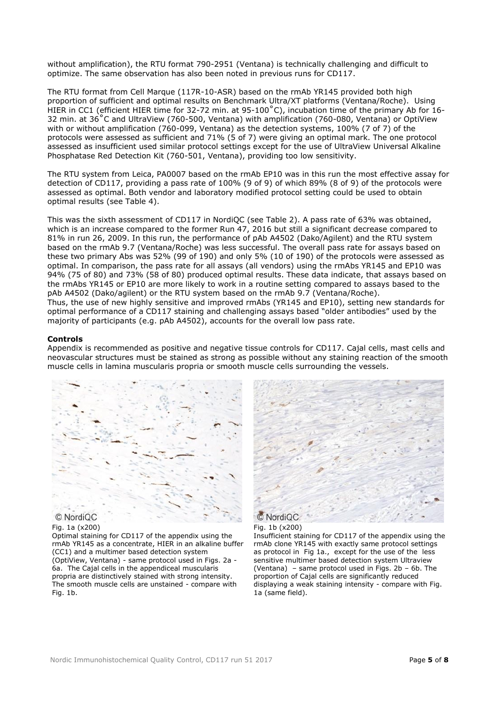without amplification), the RTU format 790-2951 (Ventana) is technically challenging and difficult to optimize. The same observation has also been noted in previous runs for CD117.

The RTU format from Cell Marque (117R-10-ASR) based on the rmAb YR145 provided both high proportion of sufficient and optimal results on Benchmark Ultra/XT platforms (Ventana/Roche). Using HIER in CC1 (efficient HIER time for 32-72 min. at 95-100˚C), incubation time of the primary Ab for 16- 32 min. at 36˚C and UltraView (760-500, Ventana) with amplification (760-080, Ventana) or OptiView with or without amplification (760-099, Ventana) as the detection systems, 100% (7 of 7) of the protocols were assessed as sufficient and 71% (5 of 7) were giving an optimal mark. The one protocol assessed as insufficient used similar protocol settings except for the use of UltraView Universal Alkaline Phosphatase Red Detection Kit (760-501, Ventana), providing too low sensitivity.

The RTU system from Leica, PA0007 based on the rmAb EP10 was in this run the most effective assay for detection of CD117, providing a pass rate of 100% (9 of 9) of which 89% (8 of 9) of the protocols were assessed as optimal. Both vendor and laboratory modified protocol setting could be used to obtain optimal results (see Table 4).

This was the sixth assessment of CD117 in NordiQC (see Table 2). A pass rate of 63% was obtained, which is an increase compared to the former Run 47, 2016 but still a significant decrease compared to 81% in run 26, 2009. In this run, the performance of pAb A4502 (Dako/Agilent) and the RTU system based on the rmAb 9.7 (Ventana/Roche) was less successful. The overall pass rate for assays based on these two primary Abs was 52% (99 of 190) and only 5% (10 of 190) of the protocols were assessed as optimal. In comparison, the pass rate for all assays (all vendors) using the rmAbs YR145 and EP10 was 94% (75 of 80) and 73% (58 of 80) produced optimal results. These data indicate, that assays based on the rmAbs YR145 or EP10 are more likely to work in a routine setting compared to assays based to the pAb A4502 (Dako/agilent) or the RTU system based on the rmAb 9.7 (Ventana/Roche). Thus, the use of new highly sensitive and improved rmAbs (YR145 and EP10), setting new standards for optimal performance of a CD117 staining and challenging assays based "older antibodies" used by the majority of participants (e.g. pAb A4502), accounts for the overall low pass rate.

### **Controls**

Appendix is recommended as positive and negative tissue controls for CD117. Cajal cells, mast cells and neovascular structures must be stained as strong as possible without any staining reaction of the smooth muscle cells in lamina muscularis propria or smooth muscle cells surrounding the vessels.



### Fig. 1a (x200)

Optimal staining for CD117 of the appendix using the rmAb YR145 as a concentrate, HIER in an alkaline buffer (CC1) and a multimer based detection system (OptiView, Ventana) - same protocol used in Figs. 2a - 6a. The Cajal cells in the appendiceal muscularis propria are distinctively stained with strong intensity. The smooth muscle cells are unstained - compare with Fig. 1b.



# Fig. 1b (x200)

Insufficient staining for CD117 of the appendix using the rmAb clone YR145 with exactly same protocol settings as protocol in Fig 1a., except for the use of the less sensitive multimer based detection system Ultraview (Ventana) – same protocol used in Figs. 2b – 6b. The proportion of Cajal cells are significantly reduced displaying a weak staining intensity - compare with Fig. 1a (same field).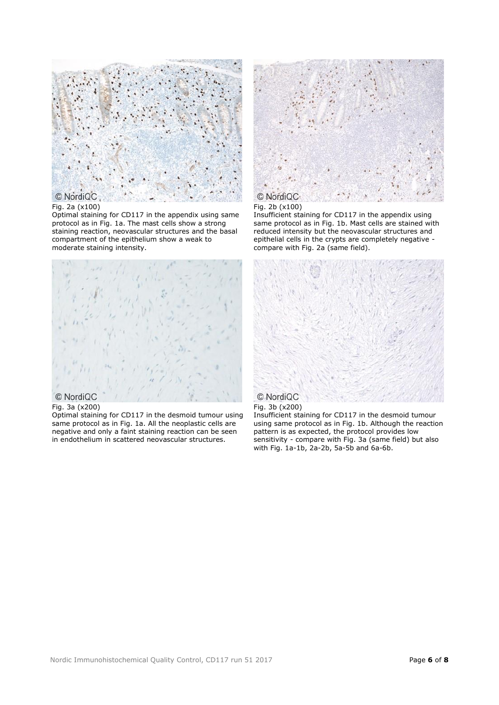

# © NordiQC

# Fig. 2a (x100)

Optimal staining for CD117 in the appendix using same protocol as in Fig. 1a. The mast cells show a strong staining reaction, neovascular structures and the basal compartment of the epithelium show a weak to moderate staining intensity.



### Fig. 3a (x200)

Optimal staining for CD117 in the desmoid tumour using same protocol as in Fig. 1a. All the neoplastic cells are negative and only a faint staining reaction can be seen in endothelium in scattered neovascular structures.



# Fig. 2b (x100)

Insufficient staining for CD117 in the appendix using same protocol as in Fig. 1b. Mast cells are stained with reduced intensity but the neovascular structures and epithelial cells in the crypts are completely negative compare with Fig. 2a (same field).



# Fig. 3b (x200)

Insufficient staining for CD117 in the desmoid tumour using same protocol as in Fig. 1b. Although the reaction pattern is as expected, the protocol provides low sensitivity - compare with Fig. 3a (same field) but also with Fig. 1a-1b, 2a-2b, 5a-5b and 6a-6b.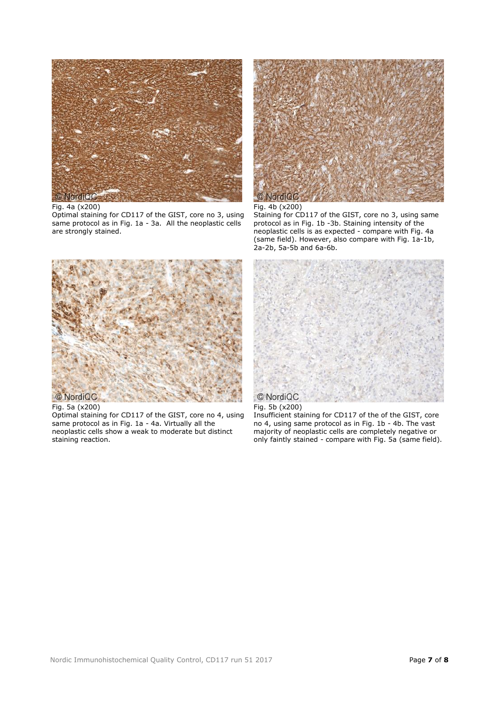

#### Fig. 4a (x200)

Optimal staining for CD117 of the GIST, core no 3, using same protocol as in Fig. 1a - 3a. All the neoplastic cells are strongly stained.



#### Fig. 4b (x200)

Staining for CD117 of the GIST, core no 3, using same protocol as in Fig. 1b -3b. Staining intensity of the neoplastic cells is as expected - compare with Fig. 4a (same field). However, also compare with Fig. 1a-1b,  $2a-2b$ , 5a-5b and 6a-6b.



Fig. 5a (x200)

Optimal staining for CD117 of the GIST, core no 4, using same protocol as in Fig. 1a - 4a. Virtually all the neoplastic cells show a weak to moderate but distinct staining reaction.



## Fig. 5b (x200)

Insufficient staining for CD117 of the of the GIST, core no 4, using same protocol as in Fig. 1b - 4b. The vast majority of neoplastic cells are completely negative or only faintly stained - compare with Fig. 5a (same field).